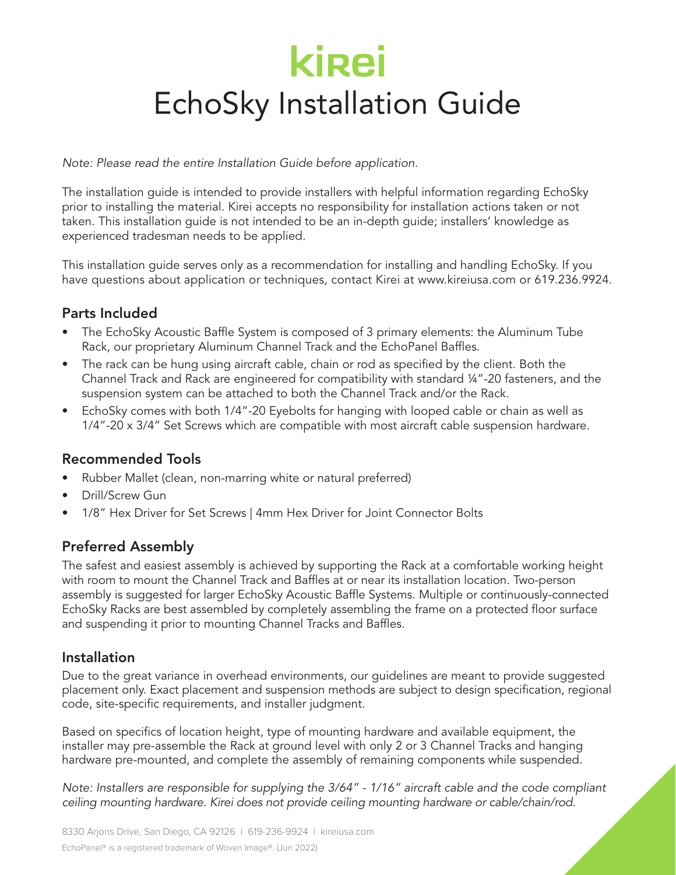# **kirei** EchoSky Installation Guide

*Note: Please read the entire Installation Guide before application.*

The installation guide is intended to provide installers with helpful information regarding EchoSky prior to installing the material. Kirei accepts no responsibility for installation actions taken or not taken. This installation guide is not intended to be an in-depth guide; installers' knowledge as experienced tradesman needs to be applied.

This installation guide serves only as a recommendation for installing and handling EchoSky. If you have questions about application or techniques, contact Kirei at www.kireiusa.com or 619.236.9924.

# Parts Included

- The EchoSky Acoustic Baffle System is composed of 3 primary elements: the Aluminum Tube Rack, our proprietary Aluminum Channel Track and the EchoPanel Baffles.
- The rack can be hung using aircraft cable, chain or rod as specified by the client. Both the Channel Track and Rack are engineered for compatibility with standard ¼"-20 fasteners, and the suspension system can be attached to both the Channel Track and/or the Rack.
- EchoSky comes with both 1/4"-20 Eyebolts for hanging with looped cable or chain as well as 1/4"-20 x 3/4" Set Screws which are compatible with most aircraft cable suspension hardware.

# Recommended Tools

- Rubber Mallet (clean, non-marring white or natural preferred)
- Drill/Screw Gun
- 1/8" Hex Driver for Set Screws | 4mm Hex Driver for Joint Connector Bolts

# Preferred Assembly

The safest and easiest assembly is achieved by supporting the Rack at a comfortable working height with room to mount the Channel Track and Baffles at or near its installation location. Two-person assembly is suggested for larger EchoSky Acoustic Baffle Systems. Multiple or continuously-connected EchoSky Racks are best assembled by completely assembling the frame on a protected floor surface and suspending it prior to mounting Channel Tracks and Baffles.

## Installation

Due to the great variance in overhead environments, our guidelines are meant to provide suggested placement only. Exact placement and suspension methods are subject to design specification, regional code, site-specific requirements, and installer judgment.

Based on specifics of location height, type of mounting hardware and available equipment, the installer may pre-assemble the Rack at ground level with only 2 or 3 Channel Tracks and hanging hardware pre-mounted, and complete the assembly of remaining components while suspended.

*Note: Installers are responsible for supplying the 3/64" - 1/16" aircraft cable and the code compliant ceiling mounting hardware. Kirei does not provide ceiling mounting hardware or cable/chain/rod.*